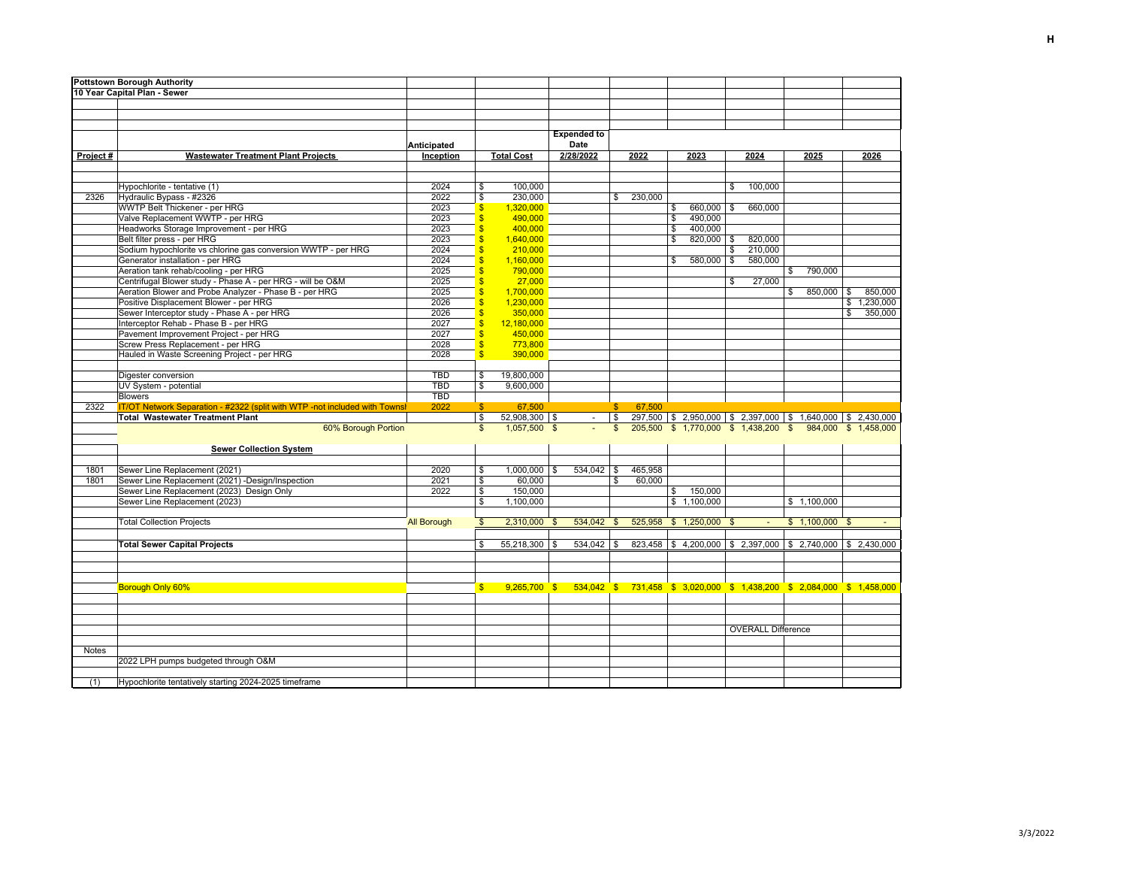| <b>Pottstown Borough Authority</b> |                                                                            |                    |                             |                                                                                     |  |                    |              |         |    |                                                                   |              |                           |              |                 |    |                      |
|------------------------------------|----------------------------------------------------------------------------|--------------------|-----------------------------|-------------------------------------------------------------------------------------|--|--------------------|--------------|---------|----|-------------------------------------------------------------------|--------------|---------------------------|--------------|-----------------|----|----------------------|
| 10 Year Capital Plan - Sewer       |                                                                            |                    |                             |                                                                                     |  |                    |              |         |    |                                                                   |              |                           |              |                 |    |                      |
|                                    |                                                                            |                    |                             |                                                                                     |  |                    |              |         |    |                                                                   |              |                           |              |                 |    |                      |
|                                    |                                                                            |                    |                             |                                                                                     |  |                    |              |         |    |                                                                   |              |                           |              |                 |    |                      |
|                                    |                                                                            |                    |                             |                                                                                     |  |                    |              |         |    |                                                                   |              |                           |              |                 |    |                      |
|                                    |                                                                            |                    |                             |                                                                                     |  | <b>Expended to</b> |              |         |    |                                                                   |              |                           |              |                 |    |                      |
|                                    |                                                                            | Anticipated        |                             |                                                                                     |  | Date               |              |         |    |                                                                   |              |                           |              |                 |    |                      |
| Project#                           | <b>Wastewater Treatment Plant Projects</b>                                 | Inception          |                             | <b>Total Cost</b>                                                                   |  | 2/28/2022          |              | 2022    |    | 2023                                                              |              | 2024                      |              | 2025            |    | 2026                 |
|                                    |                                                                            |                    |                             |                                                                                     |  |                    |              |         |    |                                                                   |              |                           |              |                 |    |                      |
|                                    |                                                                            |                    |                             |                                                                                     |  |                    |              |         |    |                                                                   |              |                           |              |                 |    |                      |
|                                    | Hypochlorite - tentative (1)                                               | 2024               | \$                          | 100,000                                                                             |  |                    |              |         |    |                                                                   | \$           | 100,000                   |              |                 |    |                      |
| 2326                               | Hydraulic Bypass - #2326                                                   | 2022               | \$                          | 230,000                                                                             |  |                    | \$           | 230,000 |    |                                                                   |              |                           |              |                 |    |                      |
|                                    | WWTP Belt Thickener - per HRG                                              | 2023               | $\sqrt[6]{3}$               | 1,320,000                                                                           |  |                    |              |         | \$ | 660,000 \$                                                        |              | 660,000                   |              |                 |    |                      |
|                                    | Valve Replacement WWTP - per HRG                                           | 2023               | $\overline{\mathbb{S}}$     | 490,000                                                                             |  |                    |              |         | \$ | 490,000                                                           |              |                           |              |                 |    |                      |
|                                    | Headworks Storage Improvement - per HRG                                    | 2023               | <sup>\$</sup>               | 400.000                                                                             |  |                    |              |         | \$ | 400.000                                                           |              |                           |              |                 |    |                      |
|                                    | Belt filter press - per HRG                                                | 2023               | $\overline{\mathbb{S}}$     | 1,640,000                                                                           |  |                    |              |         | \$ | $820,000$ \$                                                      |              | 820,000                   |              |                 |    |                      |
|                                    | Sodium hypochlorite vs chlorine gas conversion WWTP - per HRG              | 2024               | \$                          | 210,000                                                                             |  |                    |              |         |    |                                                                   | $\mathbf{s}$ | 210,000                   |              |                 |    |                      |
|                                    | Generator installation - per HRG                                           | 2024               | <sub>\$</sub>               | 1,160,000                                                                           |  |                    |              |         | \$ | $580,000$ \$                                                      |              | 580,000                   |              |                 |    |                      |
|                                    | Aeration tank rehab/cooling - per HRG                                      | 2025               | <sup>\$</sup>               | 790,000                                                                             |  |                    |              |         |    |                                                                   |              |                           |              | \$790,000       |    |                      |
|                                    | Centrifugal Blower study - Phase A - per HRG - will be O&M                 | 2025               | <sup>\$</sup>               | 27,000                                                                              |  |                    |              |         |    |                                                                   | \$           | 27,000                    |              |                 |    |                      |
|                                    | Aeration Blower and Probe Analyzer - Phase B - per HRG                     | 2025               | $\overline{\mathbb{S}}$     | 1,700,000                                                                           |  |                    |              |         |    |                                                                   |              |                           | $\mathbb{S}$ | 850,000         | \$ | 850,000              |
|                                    | Positive Displacement Blower - per HRG                                     | 2026               | $\sqrt[6]{3}$               | 1,230,000                                                                           |  |                    |              |         |    |                                                                   |              |                           |              |                 |    | \$1,230,000          |
|                                    | Sewer Interceptor study - Phase A - per HRG                                | 2026               | $\sqrt{3}$                  | 350,000                                                                             |  |                    |              |         |    |                                                                   |              |                           |              |                 | \$ | 350,000              |
|                                    | Interceptor Rehab - Phase B - per HRG                                      | 2027               | $\overline{\mathbb{S}}$     | 12,180,000                                                                          |  |                    |              |         |    |                                                                   |              |                           |              |                 |    |                      |
|                                    | Pavement Improvement Project - per HRG                                     | 2027               | $\overline{\mathbb{S}}$     | 450,000                                                                             |  |                    |              |         |    |                                                                   |              |                           |              |                 |    |                      |
|                                    | Screw Press Replacement - per HRG                                          | 2028               | $\sqrt{3}$                  | 773,800                                                                             |  |                    |              |         |    |                                                                   |              |                           |              |                 |    |                      |
|                                    | Hauled in Waste Screening Project - per HRG                                | 2028               | $\mathsf{s}$                | 390,000                                                                             |  |                    |              |         |    |                                                                   |              |                           |              |                 |    |                      |
|                                    |                                                                            |                    |                             |                                                                                     |  |                    |              |         |    |                                                                   |              |                           |              |                 |    |                      |
|                                    | Digester conversion                                                        | <b>TBD</b>         | \$                          | 19,800,000                                                                          |  |                    |              |         |    |                                                                   |              |                           |              |                 |    |                      |
|                                    | UV System - potential                                                      | <b>TBD</b>         | \$                          | 9,600,000                                                                           |  |                    |              |         |    |                                                                   |              |                           |              |                 |    |                      |
|                                    | <b>Blowers</b>                                                             | <b>TBD</b>         |                             |                                                                                     |  |                    |              |         |    |                                                                   |              |                           |              |                 |    |                      |
| 2322                               | IT/OT Network Separation - #2322 (split with WTP -not included with Townsl | 2022               | $\mathbf{\$}$               | 67,500                                                                              |  |                    | S.           | 67,500  |    |                                                                   |              |                           |              |                 |    |                      |
|                                    | <b>Total Wastewater Treatment Plant</b>                                    |                    | $\mathfrak s$               | $52,908,300$ \$                                                                     |  | $\sim$             | \$           |         |    | 297,500 \$ 2,950,000 \$ 2,397,000 \$ 1,640,000 \$ 2,430,000       |              |                           |              |                 |    |                      |
|                                    | 60% Borough Portion                                                        |                    | $\mathfrak{s}$              | 1,057,500 \$                                                                        |  |                    | $\mathbb{S}$ |         |    | 205,500 \$ 1,770,000 \$ 1,438,200 \$                              |              |                           |              |                 |    | 984,000 \$ 1,458,000 |
|                                    |                                                                            |                    |                             |                                                                                     |  |                    |              |         |    |                                                                   |              |                           |              |                 |    |                      |
|                                    | <b>Sewer Collection System</b>                                             |                    |                             |                                                                                     |  |                    |              |         |    |                                                                   |              |                           |              |                 |    |                      |
|                                    |                                                                            |                    |                             |                                                                                     |  |                    |              |         |    |                                                                   |              |                           |              |                 |    |                      |
| 1801                               | Sewer Line Replacement (2021)                                              | 2020               | \$                          | $1,000,000$ \$                                                                      |  | 534,042 \$         |              | 465,958 |    |                                                                   |              |                           |              |                 |    |                      |
| 1801                               | Sewer Line Replacement (2021) -Design/Inspection                           | 2021               | \$                          | 60,000                                                                              |  |                    | \$           | 60,000  |    |                                                                   |              |                           |              |                 |    |                      |
|                                    | Sewer Line Replacement (2023) Design Only                                  | 2022               | $\boldsymbol{\hat{\theta}}$ | 150,000                                                                             |  |                    |              |         | \$ | 150,000                                                           |              |                           |              |                 |    |                      |
|                                    | Sewer Line Replacement (2023)                                              |                    | \$                          | 1,100,000                                                                           |  |                    |              |         |    | \$1,100,000                                                       |              |                           |              | \$1,100,000     |    |                      |
|                                    |                                                                            |                    |                             |                                                                                     |  |                    |              |         |    |                                                                   |              |                           |              |                 |    |                      |
|                                    | <b>Total Collection Projects</b>                                           | <b>All Borough</b> | $\mathfrak{s}$              | $2,310,000$ \$                                                                      |  | 534,042            | \$           |         |    | 525,958 \$ 1,250,000 \$                                           |              |                           |              | $$1,100,000$ \$ |    |                      |
|                                    |                                                                            |                    |                             |                                                                                     |  |                    |              |         |    |                                                                   |              |                           |              |                 |    |                      |
|                                    | <b>Total Sewer Capital Projects</b>                                        |                    | \$                          | $55,218,300$ \$                                                                     |  | $534,042$ \$       |              |         |    | $823,458$   \$4,200,000   \$2,397,000   \$2,740,000   \$2,430,000 |              |                           |              |                 |    |                      |
|                                    |                                                                            |                    |                             |                                                                                     |  |                    |              |         |    |                                                                   |              |                           |              |                 |    |                      |
|                                    |                                                                            |                    |                             |                                                                                     |  |                    |              |         |    |                                                                   |              |                           |              |                 |    |                      |
|                                    |                                                                            |                    |                             |                                                                                     |  |                    |              |         |    |                                                                   |              |                           |              |                 |    |                      |
|                                    | Borough Only 60%                                                           |                    | \$                          | 9,265,700 \$ 534,042 \$ 731,458 \$ 3,020,000 \$ 1,438,200 \$ 2,084,000 \$ 1,458,000 |  |                    |              |         |    |                                                                   |              |                           |              |                 |    |                      |
|                                    |                                                                            |                    |                             |                                                                                     |  |                    |              |         |    |                                                                   |              |                           |              |                 |    |                      |
|                                    |                                                                            |                    |                             |                                                                                     |  |                    |              |         |    |                                                                   |              |                           |              |                 |    |                      |
|                                    |                                                                            |                    |                             |                                                                                     |  |                    |              |         |    |                                                                   |              |                           |              |                 |    |                      |
|                                    |                                                                            |                    |                             |                                                                                     |  |                    |              |         |    |                                                                   |              | <b>OVERALL Difference</b> |              |                 |    |                      |
|                                    |                                                                            |                    |                             |                                                                                     |  |                    |              |         |    |                                                                   |              |                           |              |                 |    |                      |
| <b>Notes</b>                       |                                                                            |                    |                             |                                                                                     |  |                    |              |         |    |                                                                   |              |                           |              |                 |    |                      |
|                                    | 2022 LPH pumps budgeted through O&M                                        |                    |                             |                                                                                     |  |                    |              |         |    |                                                                   |              |                           |              |                 |    |                      |
|                                    |                                                                            |                    |                             |                                                                                     |  |                    |              |         |    |                                                                   |              |                           |              |                 |    |                      |
| (1)                                | Hypochlorite tentatively starting 2024-2025 timeframe                      |                    |                             |                                                                                     |  |                    |              |         |    |                                                                   |              |                           |              |                 |    |                      |